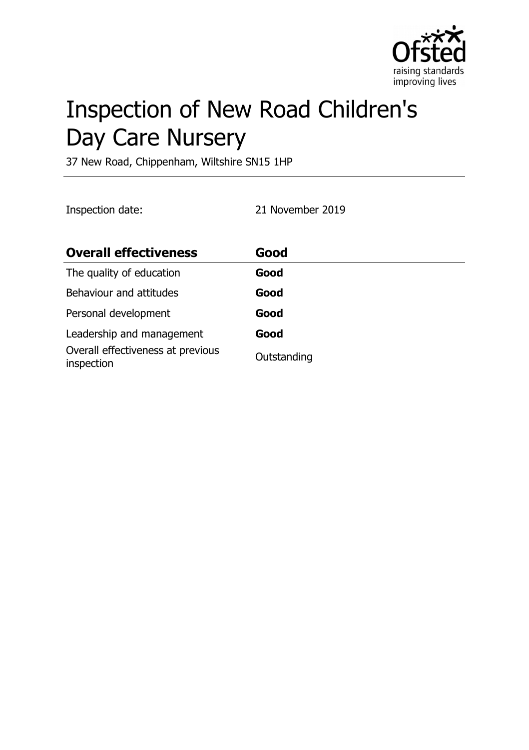

# Inspection of New Road Children's Day Care Nursery

37 New Road, Chippenham, Wiltshire SN15 1HP

Inspection date: 21 November 2019

| <b>Overall effectiveness</b>                    | Good        |
|-------------------------------------------------|-------------|
| The quality of education                        | Good        |
| Behaviour and attitudes                         | Good        |
| Personal development                            | Good        |
| Leadership and management                       | Good        |
| Overall effectiveness at previous<br>inspection | Outstanding |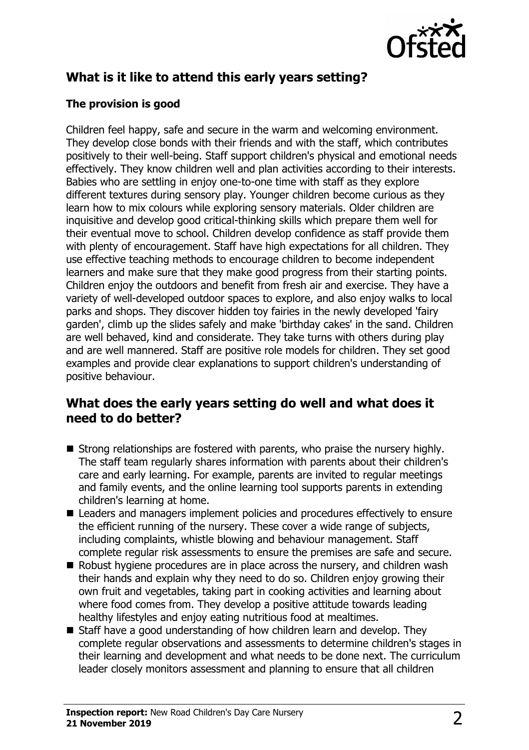

# **What is it like to attend this early years setting?**

#### **The provision is good**

Children feel happy, safe and secure in the warm and welcoming environment. They develop close bonds with their friends and with the staff, which contributes positively to their well-being. Staff support children's physical and emotional needs effectively. They know children well and plan activities according to their interests. Babies who are settling in enjoy one-to-one time with staff as they explore different textures during sensory play. Younger children become curious as they learn how to mix colours while exploring sensory materials. Older children are inquisitive and develop good critical-thinking skills which prepare them well for their eventual move to school. Children develop confidence as staff provide them with plenty of encouragement. Staff have high expectations for all children. They use effective teaching methods to encourage children to become independent learners and make sure that they make good progress from their starting points. Children enjoy the outdoors and benefit from fresh air and exercise. They have a variety of well-developed outdoor spaces to explore, and also enjoy walks to local parks and shops. They discover hidden toy fairies in the newly developed 'fairy garden', climb up the slides safely and make 'birthday cakes' in the sand. Children are well behaved, kind and considerate. They take turns with others during play and are well mannered. Staff are positive role models for children. They set good examples and provide clear explanations to support children's understanding of positive behaviour.

#### **What does the early years setting do well and what does it need to do better?**

- $\blacksquare$  Strong relationships are fostered with parents, who praise the nursery highly. The staff team regularly shares information with parents about their children's care and early learning. For example, parents are invited to regular meetings and family events, and the online learning tool supports parents in extending children's learning at home.
- Leaders and managers implement policies and procedures effectively to ensure the efficient running of the nursery. These cover a wide range of subjects, including complaints, whistle blowing and behaviour management. Staff complete regular risk assessments to ensure the premises are safe and secure.
- $\blacksquare$  Robust hygiene procedures are in place across the nursery, and children wash their hands and explain why they need to do so. Children enjoy growing their own fruit and vegetables, taking part in cooking activities and learning about where food comes from. They develop a positive attitude towards leading healthy lifestyles and enjoy eating nutritious food at mealtimes.
- $\blacksquare$  Staff have a good understanding of how children learn and develop. They complete regular observations and assessments to determine children's stages in their learning and development and what needs to be done next. The curriculum leader closely monitors assessment and planning to ensure that all children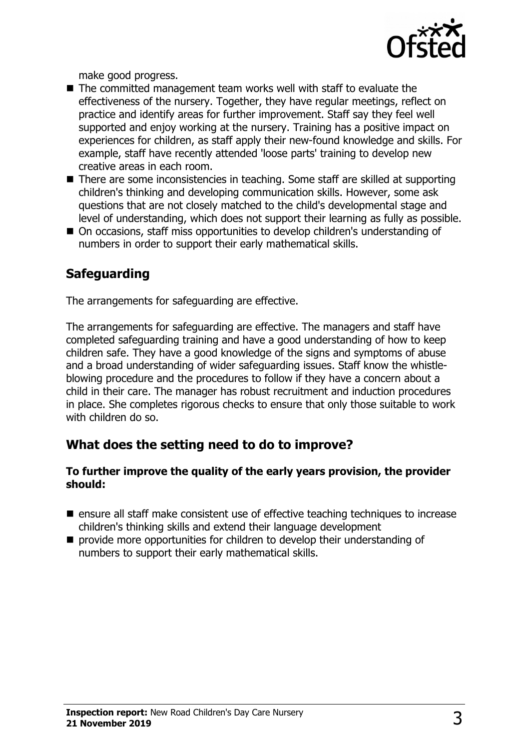

make good progress.

- $\blacksquare$  The committed management team works well with staff to evaluate the effectiveness of the nursery. Together, they have regular meetings, reflect on practice and identify areas for further improvement. Staff say they feel well supported and enjoy working at the nursery. Training has a positive impact on experiences for children, as staff apply their new-found knowledge and skills. For example, staff have recently attended 'loose parts' training to develop new creative areas in each room.
- $\blacksquare$  There are some inconsistencies in teaching. Some staff are skilled at supporting children's thinking and developing communication skills. However, some ask questions that are not closely matched to the child's developmental stage and level of understanding, which does not support their learning as fully as possible.
- On occasions, staff miss opportunities to develop children's understanding of numbers in order to support their early mathematical skills.

# **Safeguarding**

The arrangements for safeguarding are effective.

The arrangements for safeguarding are effective. The managers and staff have completed safeguarding training and have a good understanding of how to keep children safe. They have a good knowledge of the signs and symptoms of abuse and a broad understanding of wider safeguarding issues. Staff know the whistleblowing procedure and the procedures to follow if they have a concern about a child in their care. The manager has robust recruitment and induction procedures in place. She completes rigorous checks to ensure that only those suitable to work with children do so.

# **What does the setting need to do to improve?**

#### **To further improve the quality of the early years provision, the provider should:**

- $\blacksquare$  ensure all staff make consistent use of effective teaching techniques to increase children's thinking skills and extend their language development
- $\blacksquare$  provide more opportunities for children to develop their understanding of numbers to support their early mathematical skills.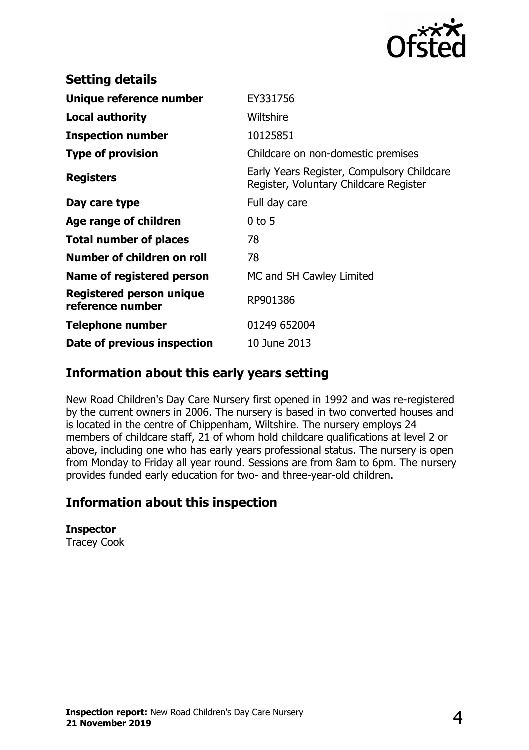

| <b>Setting details</b>                       |                                                                                      |
|----------------------------------------------|--------------------------------------------------------------------------------------|
| Unique reference number                      | EY331756                                                                             |
| <b>Local authority</b>                       | Wiltshire                                                                            |
| <b>Inspection number</b>                     | 10125851                                                                             |
| <b>Type of provision</b>                     | Childcare on non-domestic premises                                                   |
| <b>Registers</b>                             | Early Years Register, Compulsory Childcare<br>Register, Voluntary Childcare Register |
| Day care type                                | Full day care                                                                        |
| Age range of children                        | $0$ to 5                                                                             |
| <b>Total number of places</b>                | 78                                                                                   |
| Number of children on roll                   | 78                                                                                   |
| Name of registered person                    | MC and SH Cawley Limited                                                             |
| Registered person unique<br>reference number | RP901386                                                                             |
| <b>Telephone number</b>                      | 01249 652004                                                                         |
| Date of previous inspection                  | 10 June 2013                                                                         |

## **Information about this early years setting**

New Road Children's Day Care Nursery first opened in 1992 and was re-registered by the current owners in 2006. The nursery is based in two converted houses and is located in the centre of Chippenham, Wiltshire. The nursery employs 24 members of childcare staff, 21 of whom hold childcare qualifications at level 2 or above, including one who has early years professional status. The nursery is open from Monday to Friday all year round. Sessions are from 8am to 6pm. The nursery provides funded early education for two- and three-year-old children.

### **Information about this inspection**

**Inspector** Tracey Cook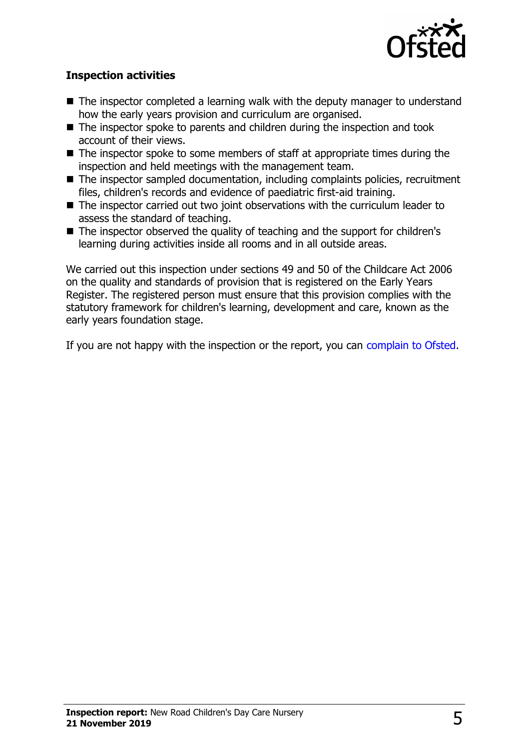

#### **Inspection activities**

- $\blacksquare$  The inspector completed a learning walk with the deputy manager to understand how the early years provision and curriculum are organised.
- $\blacksquare$  The inspector spoke to parents and children during the inspection and took account of their views.
- $\blacksquare$  The inspector spoke to some members of staff at appropriate times during the inspection and held meetings with the management team.
- $\blacksquare$  The inspector sampled documentation, including complaints policies, recruitment files, children's records and evidence of paediatric first-aid training.
- $\blacksquare$  The inspector carried out two joint observations with the curriculum leader to assess the standard of teaching.
- $\blacksquare$  The inspector observed the quality of teaching and the support for children's learning during activities inside all rooms and in all outside areas.

We carried out this inspection under sections 49 and 50 of the Childcare Act 2006 on the quality and standards of provision that is registered on the Early Years Register. The registered person must ensure that this provision complies with the statutory framework for children's learning, development and care, known as the early years foundation stage.

If you are not happy with the inspection or the report, you can [complain to Ofsted.](http://www.gov.uk/complain-ofsted-report)